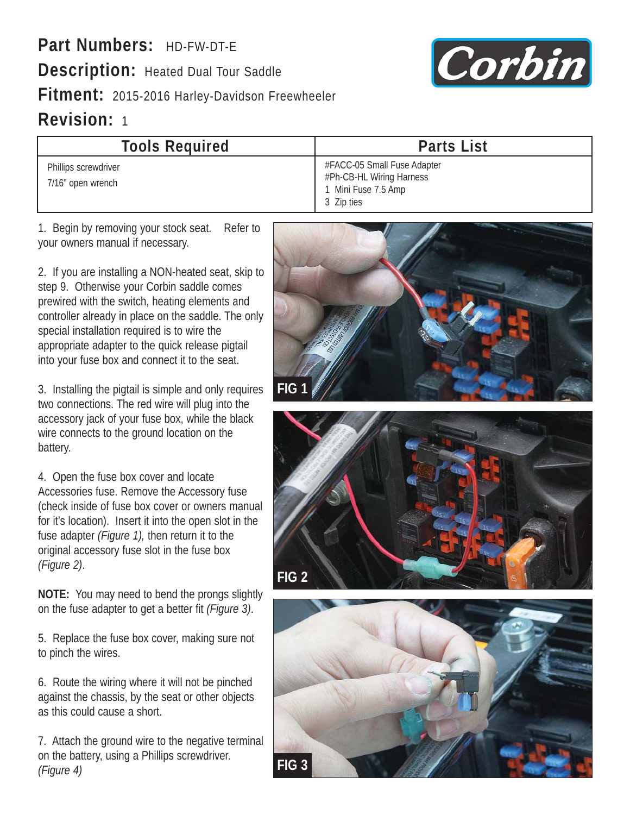**Part Numbers:** HD-FW-DT-E **Description:** Heated Dual Tour Saddle **Fitment:** 2015-2016 Harley-Davidson Freewheeler **Revision:** 1



| <b>Tools Required</b>                     | <b>Parts List</b>                                                                            |
|-------------------------------------------|----------------------------------------------------------------------------------------------|
| Phillips screwdriver<br>7/16" open wrench | #FACC-05 Small Fuse Adapter<br>#Ph-CB-HL Wiring Harness<br>1 Mini Fuse 7.5 Amp<br>3 Zip ties |

1. Begin by removing your stock seat. Refer to your owners manual if necessary.

2. If you are installing a NON-heated seat, skip to step 9. Otherwise your Corbin saddle comes prewired with the switch, heating elements and controller already in place on the saddle. The only special installation required is to wire the appropriate adapter to the quick release pigtail into your fuse box and connect it to the seat.

3. Installing the pigtail is simple and only requires two connections. The red wire will plug into the accessory jack of your fuse box, while the black wire connects to the ground location on the battery.

4. Open the fuse box cover and locate Accessories fuse. Remove the Accessory fuse (check inside of fuse box cover or owners manual for it's location). Insert it into the open slot in the fuse adapter *(Figure 1),* then return it to the original accessory fuse slot in the fuse box *(Figure 2)*.

**NOTE:** You may need to bend the prongs slightly on the fuse adapter to get a better fit *(Figure 3)*.

5. Replace the fuse box cover, making sure not to pinch the wires.

6. Route the wiring where it will not be pinched against the chassis, by the seat or other objects as this could cause a short.

7. Attach the ground wire to the negative terminal on the battery, using a Phillips screwdriver. *(Figure 4)*